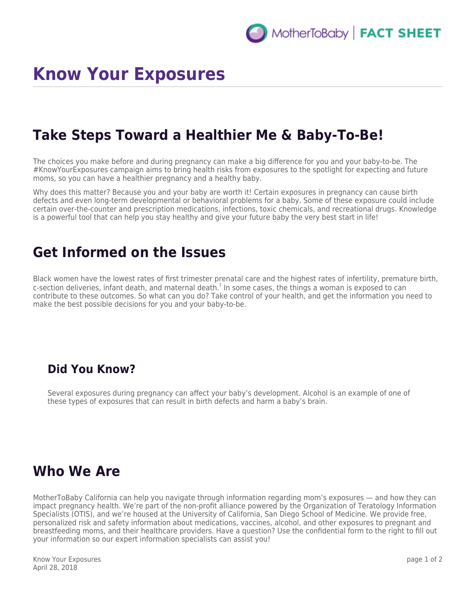# **Know Your Exposures**

#### **Take Steps Toward a Healthier Me & Baby-To-Be!**

The choices you make before and during pregnancy can make a big difference for you and your baby-to-be. The #KnowYourExposures campaign aims to bring health risks from exposures to the spotlight for expecting and future moms, so you can have a healthier pregnancy and a healthy baby.

Why does this matter? Because you and your baby are worth it! Certain exposures in pregnancy can cause birth defects and even long-term developmental or behavioral problems for a baby. Some of these exposure could include certain over-the-counter and prescription medications, infections, toxic chemicals, and recreational drugs. Knowledge is a powerful tool that can help you stay healthy and give your future baby the very best start in life!

#### **Get Informed on the Issues**

Black women have the lowest rates of first trimester prenatal care and the highest rates of infertility, premature birth, c-section deliveries, infant death, and maternal death.<sup>1</sup> In some cases, the things a woman is exposed to can contribute to these outcomes. So what can you do? Take control of your health, and get the information you need to make the best possible decisions for you and your baby-to-be.

#### **Did You Know?**

Several exposures during pregnancy can affect your baby's development. Alcohol is an example of one of these types of exposures that can result in birth defects and harm a baby's brain.

#### **Who We Are**

MotherToBaby California can help you navigate through information regarding mom's exposures — and how they can impact pregnancy health. We're part of the non-profit alliance powered by the Organization of Teratology Information Specialists (OTIS), and we're housed at the University of California, San Diego School of Medicine. We provide free, personalized risk and safety information about medications, vaccines, alcohol, and other exposures to pregnant and breastfeeding moms, and their healthcare providers. Have a question? Use the confidential form to the right to fill out your information so our expert information specialists can assist you!

Know Your Exposures April 28, 2018